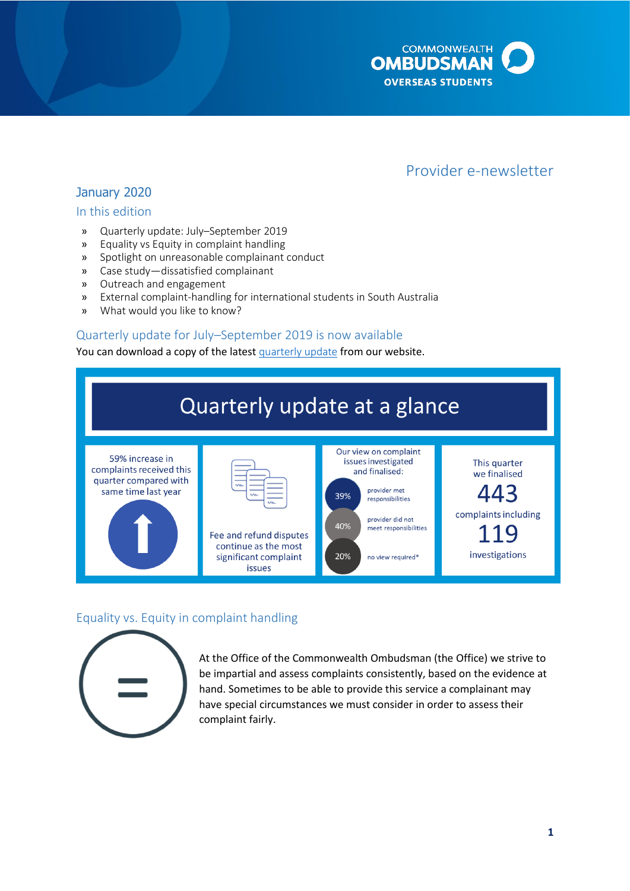

# Provider e-newsletter

# January 2020

### In this edition

- » Quarterly update: July–September 2019
- » Equality vs Equity in complaint handling
- » Spotlight on unreasonable complainant conduct
- » Case study—dissatisfied complainant
- » Outreach and engagement
- » External complaint-handling for international students in South Australia
- » What would you like to know?

### Quarterly update for July–September 2019 is now available

You can download a copy of the latest **quarterly update** from our website.



### Equality vs. Equity in complaint handling



At the Office of the Commonwealth Ombudsman (the Office) we strive to be impartial and assess complaints consistently, based on the evidence at hand. Sometimes to be able to provide this service a complainant may have special circumstances we must consider in order to assess their complaint fairly.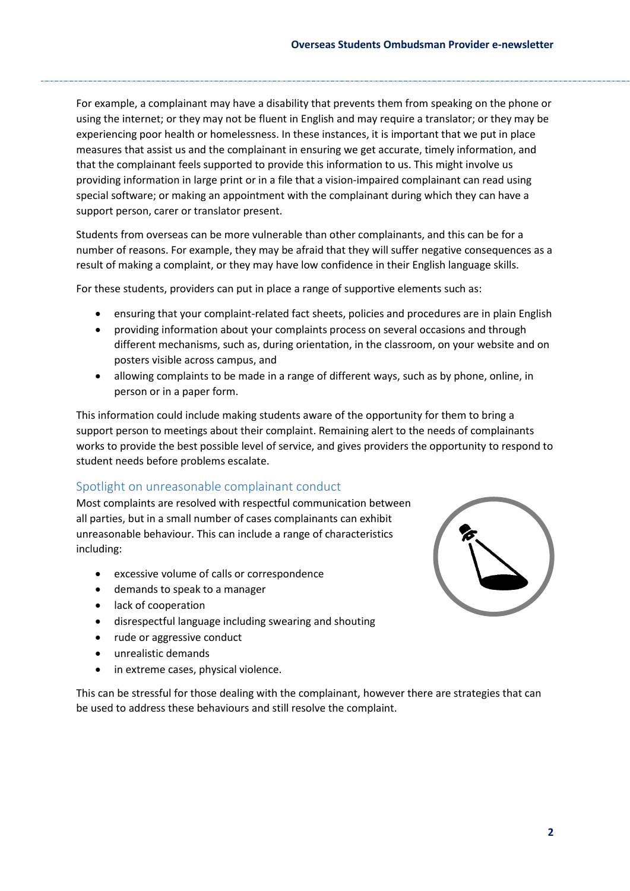using the internet; or they may not be fluent in English and may require a translator; or they may be For example, a complainant may have a disability that prevents them from speaking on the phone or experiencing poor health or homelessness. In these instances, it is important that we put in place measures that assist us and the complainant in ensuring we get accurate, timely information, and that the complainant feels supported to provide this information to us. This might involve us providing information in large print or in a file that a vision-impaired complainant can read using special software; or making an appointment with the complainant during which they can have a support person, carer or translator present.

Students from overseas can be more vulnerable than other complainants, and this can be for a number of reasons. For example, they may be afraid that they will suffer negative consequences as a result of making a complaint, or they may have low confidence in their English language skills.

For these students, providers can put in place a range of supportive elements such as:

- ensuring that your complaint-related fact sheets, policies and procedures are in plain English
- providing information about your complaints process on several occasions and through different mechanisms, such as, during orientation, in the classroom, on your website and on posters visible across campus, and
- allowing complaints to be made in a range of different ways, such as by phone, online, in person or in a paper form.

 works to provide the best possible level of service, and gives providers the opportunity to respond to This information could include making students aware of the opportunity for them to bring a support person to meetings about their complaint. Remaining alert to the needs of complainants student needs before problems escalate.

### Spotlight on unreasonable complainant conduct

Most complaints are resolved with respectful communication between all parties, but in a small number of cases complainants can exhibit unreasonable behaviour. This can include a range of characteristics including:

- excessive volume of calls or correspondence
- demands to speak to a manager
- lack of cooperation
- disrespectful language including swearing and shouting
- rude or aggressive conduct
- unrealistic demands
- in extreme cases, physical violence.

This can be stressful for those dealing with the complainant, however there are strategies that can be used to address these behaviours and still resolve the complaint.

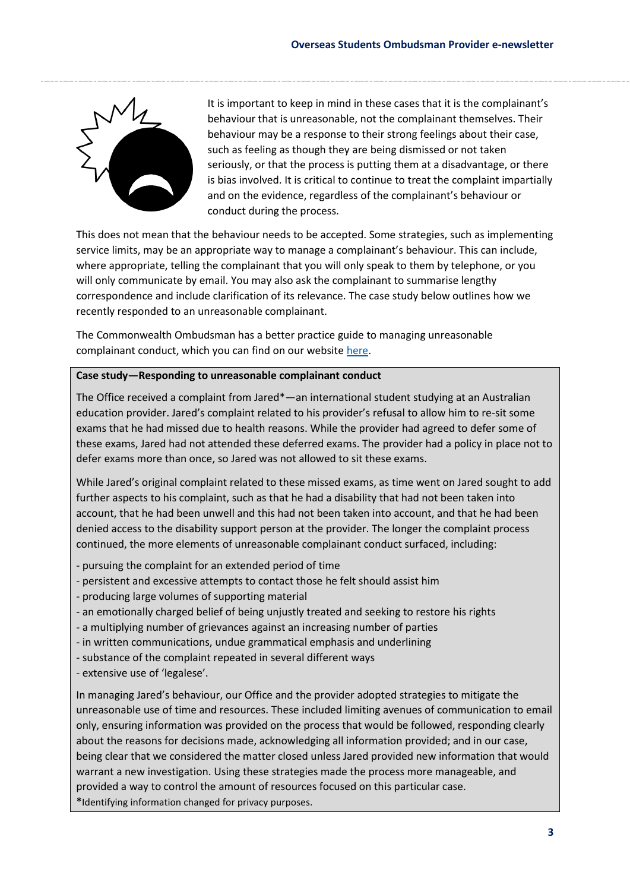

It is important to keep in mind in these cases that it is the complainant's behaviour that is unreasonable, not the complainant themselves. Their behaviour may be a response to their strong feelings about their case, such as feeling as though they are being dismissed or not taken seriously, or that the process is putting them at a disadvantage, or there is bias involved. It is critical to continue to treat the complaint impartially and on the evidence, regardless of the complainant's behaviour or conduct during the process.

 service limits, may be an appropriate way to manage a complainant's behaviour. This can include, This does not mean that the behaviour needs to be accepted. Some strategies, such as implementing where appropriate, telling the complainant that you will only speak to them by telephone, or you will only communicate by email. You may also ask the complainant to summarise lengthy correspondence and include clarification of its relevance. The case study below outlines how we recently responded to an unreasonable complainant.

The Commonwealth Ombudsman has a better practice guide to managing unreasonable complainant conduct, which you can find on our websit[e here.](http://www.ombudsman.gov.au/__data/assets/pdf_file/0022/35617/GL_Unreasonable-Complainant-Conduct-Manual-2012_LR.pdf)

#### **Case study—Responding to unreasonable complainant conduct**

The Office received a complaint from Jared\*—an international student studying at an Australian education provider. Jared's complaint related to his provider's refusal to allow him to re-sit some exams that he had missed due to health reasons. While the provider had agreed to defer some of these exams, Jared had not attended these deferred exams. The provider had a policy in place not to defer exams more than once, so Jared was not allowed to sit these exams.

While Jared's original complaint related to these missed exams, as time went on Jared sought to add further aspects to his complaint, such as that he had a disability that had not been taken into account, that he had been unwell and this had not been taken into account, and that he had been denied access to the disability support person at the provider. The longer the complaint process continued, the more elements of unreasonable complainant conduct surfaced, including:

- pursuing the complaint for an extended period of time
- persistent and excessive attempts to contact those he felt should assist him
- producing large volumes of supporting material
- an emotionally charged belief of being unjustly treated and seeking to restore his rights
- a multiplying number of grievances against an increasing number of parties
- in written communications, undue grammatical emphasis and underlining
- substance of the complaint repeated in several different ways
- extensive use of 'legalese'.

In managing Jared's behaviour, our Office and the provider adopted strategies to mitigate the unreasonable use of time and resources. These included limiting avenues of communication to email only, ensuring information was provided on the process that would be followed, responding clearly about the reasons for decisions made, acknowledging all information provided; and in our case, being clear that we considered the matter closed unless Jared provided new information that would warrant a new investigation. Using these strategies made the process more manageable, and provided a way to control the amount of resources focused on this particular case. \*Identifying information changed for privacy purposes.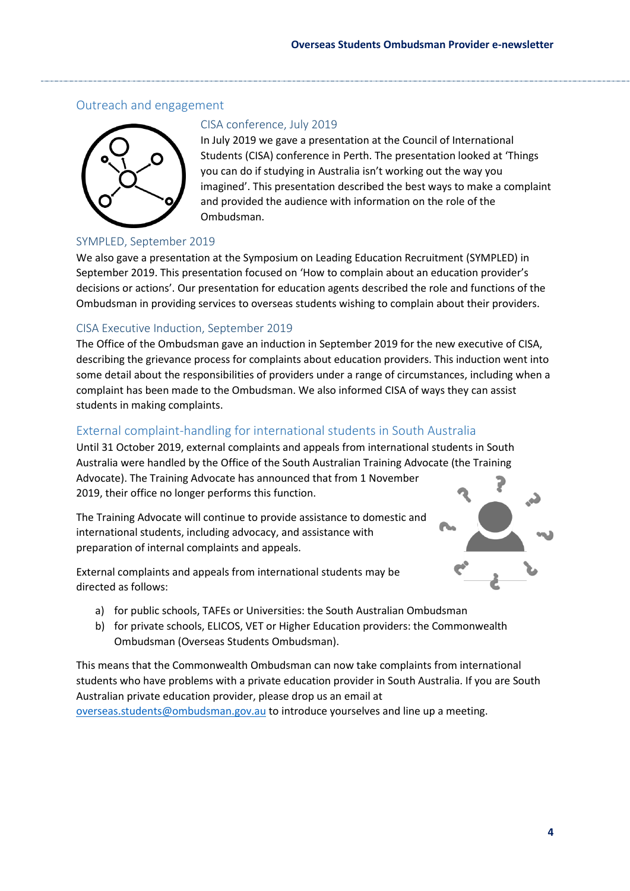# Outreach and engagement



### CISA conference, July 2019

In July 2019 we gave a presentation at the Council of International Students (CISA) conference in Perth. The presentation looked at 'Things you can do if studying in Australia isn't working out the way you imagined'. This presentation described the best ways to make a complaint and provided the audience with information on the role of the Ombudsman.

### SYMPLED, September 2019

 September 2019. This presentation focused on 'How to complain about an education provider's We also gave a presentation at the Symposium on Leading Education Recruitment (SYMPLED) in decisions or actions'. Our presentation for education agents described the role and functions of the Ombudsman in providing services to overseas students wishing to complain about their providers.

### CISA Executive Induction, September 2019

The Office of the Ombudsman gave an induction in September 2019 for the new executive of CISA, describing the grievance process for complaints about education providers. This induction went into some detail about the responsibilities of providers under a range of circumstances, including when a complaint has been made to the Ombudsman. We also informed CISA of ways they can assist students in making complaints.

## External complaint-handling for international students in South Australia

Until 31 October 2019, external complaints and appeals from international students in South Australia were handled by the Office of the South Australian Training Advocate (the Training Advocate). The Training Advocate has announced that from 1 November 2019, their office no longer performs this function.

The Training Advocate will continue to provide assistance to domestic and international students, including advocacy, and assistance with preparation of internal complaints and appeals.

External complaints and appeals from international students may be directed as follows:



- a) for public schools, TAFEs or Universities: the South Australian Ombudsman
- b) for private schools, ELICOS, VET or Higher Education providers: the Commonwealth Ombudsman (Overseas Students Ombudsman).

This means that the Commonwealth Ombudsman can now take complaints from international students who have problems with a private education provider in South Australia. If you are South Australian private education provider, please drop us an email at [overseas.students@ombudsman.gov.au](mailto:overseas.students@ombudsman.gov.au) to introduce yourselves and line up a meeting.